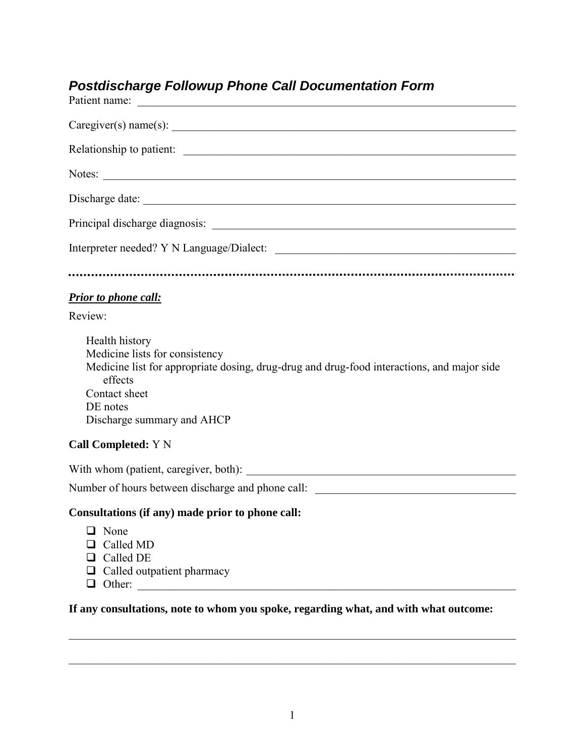# *Postdischarge Followup Phone Call Documentation Form*

| Patient name:                                                                                                                                                                                                        |
|----------------------------------------------------------------------------------------------------------------------------------------------------------------------------------------------------------------------|
| Caregiver(s) name(s):                                                                                                                                                                                                |
|                                                                                                                                                                                                                      |
|                                                                                                                                                                                                                      |
| Discharge date:                                                                                                                                                                                                      |
|                                                                                                                                                                                                                      |
|                                                                                                                                                                                                                      |
|                                                                                                                                                                                                                      |
| Prior to phone call:                                                                                                                                                                                                 |
| Review:                                                                                                                                                                                                              |
| Health history<br>Medicine lists for consistency<br>Medicine list for appropriate dosing, drug-drug and drug-food interactions, and major side<br>effects<br>Contact sheet<br>DE notes<br>Discharge summary and AHCP |
| <b>Call Completed: Y N</b>                                                                                                                                                                                           |
|                                                                                                                                                                                                                      |
| Number of hours between discharge and phone call: _______________________________                                                                                                                                    |
| Consultations (if any) made prior to phone call:                                                                                                                                                                     |
| $\Box$ None<br>$\Box$ Called MD<br>$\Box$ Called DE<br>$\Box$ Called outpatient pharmacy<br>$\Box$ Other:                                                                                                            |

**If any consultations, note to whom you spoke, regarding what, and with what outcome:**

\_\_\_\_\_\_\_\_\_\_\_\_\_\_\_\_\_\_\_\_\_\_\_\_\_\_\_\_\_\_\_\_\_\_\_\_\_\_\_\_\_\_\_\_\_\_\_\_\_\_\_\_\_\_\_\_\_\_\_\_\_\_\_\_\_\_\_\_\_\_\_\_\_\_\_\_\_\_

 $\mathcal{L}_\mathcal{L} = \{ \mathcal{L}_\mathcal{L} = \{ \mathcal{L}_\mathcal{L} = \{ \mathcal{L}_\mathcal{L} = \{ \mathcal{L}_\mathcal{L} = \{ \mathcal{L}_\mathcal{L} = \{ \mathcal{L}_\mathcal{L} = \{ \mathcal{L}_\mathcal{L} = \{ \mathcal{L}_\mathcal{L} = \{ \mathcal{L}_\mathcal{L} = \{ \mathcal{L}_\mathcal{L} = \{ \mathcal{L}_\mathcal{L} = \{ \mathcal{L}_\mathcal{L} = \{ \mathcal{L}_\mathcal{L} = \{ \mathcal{L}_\mathcal{$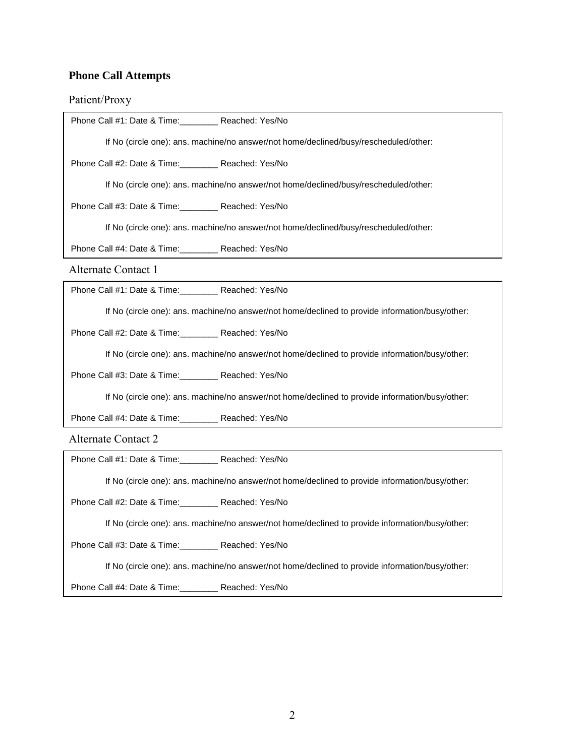# **Phone Call Attempts**

## Patient/Proxy

| Phone Call #1: Date & Time: Reached: Yes/No                                          |                                                                                                                                                                                                                                   |  |
|--------------------------------------------------------------------------------------|-----------------------------------------------------------------------------------------------------------------------------------------------------------------------------------------------------------------------------------|--|
| If No (circle one): ans. machine/no answer/not home/declined/busy/rescheduled/other: |                                                                                                                                                                                                                                   |  |
| Phone Call #2: Date & Time: Reached: Yes/No                                          |                                                                                                                                                                                                                                   |  |
| If No (circle one): ans. machine/no answer/not home/declined/busy/rescheduled/other: |                                                                                                                                                                                                                                   |  |
| Phone Call #3: Date & Time: Reached: Yes/No                                          |                                                                                                                                                                                                                                   |  |
| If No (circle one): ans. machine/no answer/not home/declined/busy/rescheduled/other: |                                                                                                                                                                                                                                   |  |
| Phone Call #4: Date & Time: Reached: Yes/No                                          |                                                                                                                                                                                                                                   |  |
| <b>Alternate Contact 1</b>                                                           |                                                                                                                                                                                                                                   |  |
| Phone Call #1: Date & Time: Reached: Yes/No                                          |                                                                                                                                                                                                                                   |  |
|                                                                                      | If No (circle one): ans. machine/no answer/not home/declined to provide information/busy/other:                                                                                                                                   |  |
| Phone Call #2: Date & Time: Reached: Yes/No                                          |                                                                                                                                                                                                                                   |  |
|                                                                                      | If No (circle one): ans. machine/no answer/not home/declined to provide information/busy/other:                                                                                                                                   |  |
| Phone Call #3: Date & Time: Reached: Yes/No                                          |                                                                                                                                                                                                                                   |  |
|                                                                                      | If No (circle one): ans. machine/no answer/not home/declined to provide information/busy/other:                                                                                                                                   |  |
| Phone Call #4: Date & Time: Reached: Yes/No                                          |                                                                                                                                                                                                                                   |  |
| <b>Alternate Contact 2</b>                                                           |                                                                                                                                                                                                                                   |  |
| Phone Call #1: Date & Time: Reached: Yes/No                                          |                                                                                                                                                                                                                                   |  |
|                                                                                      | If No (circle one): ans. machine/no answer/not home/declined to provide information/busy/other:                                                                                                                                   |  |
|                                                                                      |                                                                                                                                                                                                                                   |  |
| Phone Call #2: Date & Time: Reached: Yes/No                                          |                                                                                                                                                                                                                                   |  |
|                                                                                      | If No (circle one): ans. machine/no answer/not home/declined to provide information/busy/other:                                                                                                                                   |  |
| Phone Call #3: Date & Time: Reached: Yes/No                                          |                                                                                                                                                                                                                                   |  |
| $\sim$ $\sim$ $\sim$ $\sim$ $\sim$ $\sim$ $\sim$                                     | $\mathbf{r}$ , and the contract of the contract of the contract of the contract of the contract of the contract of the contract of the contract of the contract of the contract of the contract of the contract of the contract o |  |

If No (circle one): ans. machine/no answer/not home/declined to provide information/busy/other:

Phone Call #4: Date & Time:\_\_\_\_\_\_\_\_ Reached: Yes/No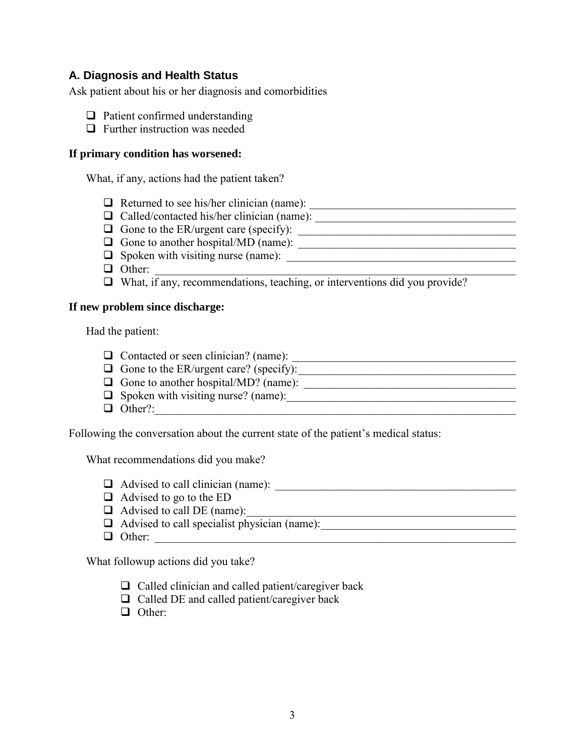## **A. Diagnosis and Health Status**

Ask patient about his or her diagnosis and comorbidities

- $\Box$  Patient confirmed understanding
- $\Box$  Further instruction was needed

#### **If primary condition has worsened:**

What, if any, actions had the patient taken?

- Returned to see his/her clinician (name): \_\_\_\_\_\_\_\_\_\_\_\_\_\_\_\_\_\_\_\_\_\_\_\_\_\_\_\_\_\_\_\_\_\_\_\_
- $\Box$  Called/contacted his/her clinician (name):  $\Box$
- $\Box$  Gone to the ER/urgent care (specify):
- Gone to another hospital/MD (name): \_\_\_\_\_\_\_\_\_\_\_\_\_\_\_\_\_\_\_\_\_\_\_\_\_\_\_\_\_\_\_\_\_\_\_\_\_\_
- $\Box$  Spoken with visiting nurse (name):  $\Box$
- Other: \_\_\_\_\_\_\_\_\_\_\_\_\_\_\_\_\_\_\_\_\_\_\_\_\_\_\_\_\_\_\_\_\_\_\_\_\_\_\_\_\_\_\_\_\_\_\_\_\_\_\_\_\_\_\_\_\_\_\_\_\_\_\_
- What, if any, recommendations, teaching, or interventions did you provide?

#### **If new problem since discharge:**

Had the patient:

- $\Box$  Contacted or seen clinician? (name):
- $\Box$  Gone to the ER/urgent care? (specify): Gone to another hospital/MD? (name): \_\_\_\_\_\_\_\_\_\_\_\_\_\_\_\_\_\_\_\_\_\_\_\_\_\_\_\_\_\_\_\_\_\_\_\_\_
- $\Box$  Spoken with visiting nurse? (name):  $\Box$
- $\Box$  Other?:

Following the conversation about the current state of the patient's medical status:

What recommendations did you make?

- Advised to call clinician (name): \_\_\_\_\_\_\_\_\_\_\_\_\_\_\_\_\_\_\_\_\_\_\_\_\_\_\_\_\_\_\_\_\_\_\_\_\_\_\_\_\_\_
- $\Box$  Advised to go to the ED
- Advised to call DE (name): \_\_\_\_\_\_\_\_\_\_\_\_\_\_\_\_\_\_\_\_\_\_\_\_\_\_\_\_\_\_\_\_\_\_\_\_\_\_\_\_\_\_\_\_\_\_\_
- Advised to call specialist physician (name): \_\_\_\_\_\_\_\_\_\_\_\_\_\_\_\_\_\_\_\_\_\_\_\_\_\_\_\_\_\_\_\_\_\_
- $\Box$  Other:

What followup actions did you take?

- $\Box$  Called clinician and called patient/caregiver back
- $\Box$  Called DE and called patient/caregiver back
- $\Box$  Other: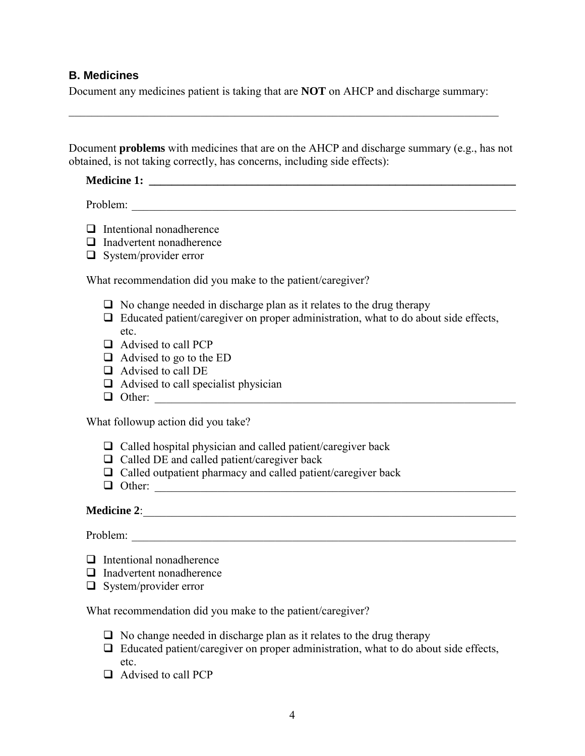#### **B. Medicines**

Document any medicines patient is taking that are **NOT** on AHCP and discharge summary:

\_\_\_\_\_\_\_\_\_\_\_\_\_\_\_\_\_\_\_\_\_\_\_\_\_\_\_\_\_\_\_\_\_\_\_\_\_\_\_\_\_\_\_\_\_\_\_\_\_\_\_\_\_\_\_\_\_\_\_\_\_\_\_\_\_\_\_\_\_\_\_\_\_\_\_

Document **problems** with medicines that are on the AHCP and discharge summary (e.g., has not obtained, is not taking correctly, has concerns, including side effects):

# **Medicine 1: \_\_\_\_\_\_\_\_\_\_\_\_\_\_\_\_\_\_\_\_\_\_\_\_\_\_\_\_\_\_\_\_\_\_\_\_\_\_\_\_\_\_\_\_\_\_\_\_\_\_\_\_\_\_\_\_\_\_\_\_\_\_\_\_**

Problem:

- $\Box$  Intentional nonadherence
- $\Box$  Inadvertent nonadherence
- $\Box$  System/provider error

What recommendation did you make to the patient/caregiver?

- $\Box$  No change needed in discharge plan as it relates to the drug therapy
- $\Box$  Educated patient/caregiver on proper administration, what to do about side effects, etc.
- □ Advised to call PCP
- $\Box$  Advised to go to the ED
- □ Advised to call DE
- $\Box$  Advised to call specialist physician
- $\Box$  Other:

What followup action did you take?

- $\Box$  Called hospital physician and called patient/caregiver back
- $\Box$  Called DE and called patient/caregiver back
- $\Box$  Called outpatient pharmacy and called patient/caregiver back
- $\Box$  Other:

# **Medicine 2**: \_\_\_\_\_\_\_\_\_\_\_\_\_\_\_\_\_\_\_\_\_\_\_\_\_\_\_\_\_\_\_\_\_\_\_\_\_\_\_\_\_\_\_\_\_\_\_\_\_\_\_\_\_\_\_\_\_\_\_\_\_\_\_\_\_

Problem: \_\_\_\_\_\_\_\_\_\_\_\_\_\_\_\_\_\_\_\_\_\_\_\_\_\_\_\_\_\_\_\_\_\_\_\_\_\_\_\_\_\_\_\_\_\_\_\_\_\_\_\_\_\_\_\_\_\_\_\_\_\_\_\_\_\_\_

- $\Box$  Intentional nonadherence
- $\Box$  Inadvertent nonadherence
- $\Box$  System/provider error

What recommendation did you make to the patient/caregiver?

- $\Box$  No change needed in discharge plan as it relates to the drug therapy
- $\Box$  Educated patient/caregiver on proper administration, what to do about side effects, etc.
- □ Advised to call PCP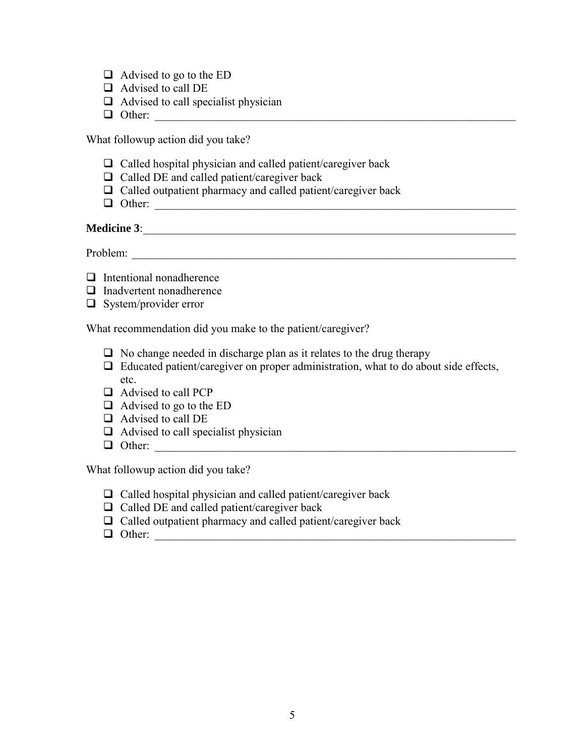- $\Box$  Advised to go to the ED
- □ Advised to call DE
- $\Box$  Advised to call specialist physician
- Other: \_\_\_\_\_\_\_\_\_\_\_\_\_\_\_\_\_\_\_\_\_\_\_\_\_\_\_\_\_\_\_\_\_\_\_\_\_\_\_\_\_\_\_\_\_\_\_\_\_\_\_\_\_\_\_\_\_\_\_\_\_\_\_

What followup action did you take?

- $\Box$  Called hospital physician and called patient/caregiver back
- $\Box$  Called DE and called patient/caregiver back
- $\Box$  Called outpatient pharmacy and called patient/caregiver back
- $\Box$  Other:

### **Medicine 3**: \_\_\_\_\_\_\_\_\_\_\_\_\_\_\_\_\_\_\_\_\_\_\_\_\_\_\_\_\_\_\_\_\_\_\_\_\_\_\_\_\_\_\_\_\_\_\_\_\_\_\_\_\_\_\_\_\_\_\_\_\_\_\_\_\_

Problem:

- $\Box$  Intentional nonadherence
- $\Box$  Inadvertent nonadherence
- $\Box$  System/provider error

What recommendation did you make to the patient/caregiver?

- $\Box$  No change needed in discharge plan as it relates to the drug therapy
- $\Box$  Educated patient/caregiver on proper administration, what to do about side effects, etc.
- □ Advised to call PCP
- $\Box$  Advised to go to the ED
- □ Advised to call DE
- $\Box$  Advised to call specialist physician
- Other: \_\_\_\_\_\_\_\_\_\_\_\_\_\_\_\_\_\_\_\_\_\_\_\_\_\_\_\_\_\_\_\_\_\_\_\_\_\_\_\_\_\_\_\_\_\_\_\_\_\_\_\_\_\_\_\_\_\_\_\_\_\_\_

What followup action did you take?

- $\Box$  Called hospital physician and called patient/caregiver back
- $\Box$  Called DE and called patient/caregiver back
- $\Box$  Called outpatient pharmacy and called patient/caregiver back
- $\Box$  Other: